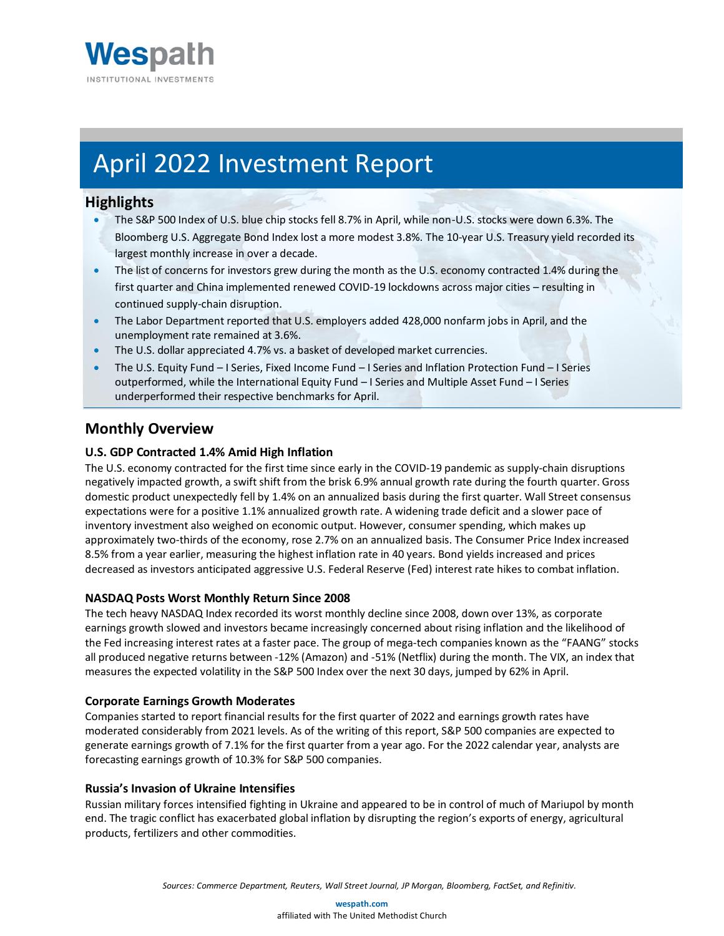

# April 2022 Investment Report

## **Highlights**

- The S&P 500 Index of U.S. blue chip stocks fell 8.7% in April, while non-U.S. stocks were down 6.3%. The Bloomberg U.S. Aggregate Bond Index lost a more modest 3.8%. The 10-year U.S. Treasury yield recorded its largest monthly increase in over a decade.
- The list of concerns for investors grew during the month as the U.S. economy contracted 1.4% during the first quarter and China implemented renewed COVID-19 lockdowns across major cities – resulting in continued supply-chain disruption.
- The Labor Department reported that U.S. employers added 428,000 nonfarm jobs in April, and the unemployment rate remained at 3.6%.
- The U.S. dollar appreciated 4.7% vs. a basket of developed market currencies.
- The U.S. Equity Fund I Series, Fixed Income Fund I Series and Inflation Protection Fund I Series outperformed, while the International Equity Fund – I Series and Multiple Asset Fund – I Series underperformed their respective benchmarks for April.

## **Monthly Overview**

#### **U.S. GDP Contracted 1.4% Amid High Inflation**

The U.S. economy contracted for the first time since early in the COVID-19 pandemic as supply-chain disruptions negatively impacted growth, a swift shift from the brisk 6.9% annual growth rate during the fourth quarter. Gross domestic product unexpectedly fell by 1.4% on an annualized basis during the first quarter. Wall Street consensus expectations were for a positive 1.1% annualized growth rate. A widening trade deficit and a slower pace of inventory investment also weighed on economic output. However, consumer spending, which makes up approximately two-thirds of the economy, rose 2.7% on an annualized basis. The Consumer Price Index increased 8.5% from a year earlier, measuring the highest inflation rate in 40 years. Bond yields increased and prices decreased as investors anticipated aggressive U.S. Federal Reserve (Fed) interest rate hikes to combat inflation.

#### **NASDAQ Posts Worst Monthly Return Since 2008**

The tech heavy NASDAQ Index recorded its worst monthly decline since 2008, down over 13%, as corporate earnings growth slowed and investors became increasingly concerned about rising inflation and the likelihood of the Fed increasing interest rates at a faster pace. The group of mega-tech companies known as the "FAANG" stocks all produced negative returns between -12% (Amazon) and -51% (Netflix) during the month. The VIX, an index that measures the expected volatility in the S&P 500 Index over the next 30 days, jumped by 62% in April.

#### **Corporate Earnings Growth Moderates**

Companies started to report financial results for the first quarter of 2022 and earnings growth rates have moderated considerably from 2021 levels. As of the writing of this report, S&P 500 companies are expected to generate earnings growth of 7.1% for the first quarter from a year ago. For the 2022 calendar year, analysts are forecasting earnings growth of 10.3% for S&P 500 companies.

#### **Russia's Invasion of Ukraine Intensifies**

Russian military forces intensified fighting in Ukraine and appeared to be in control of much of Mariupol by month end. The tragic conflict has exacerbated global inflation by disrupting the region's exports of energy, agricultural products, fertilizers and other commodities.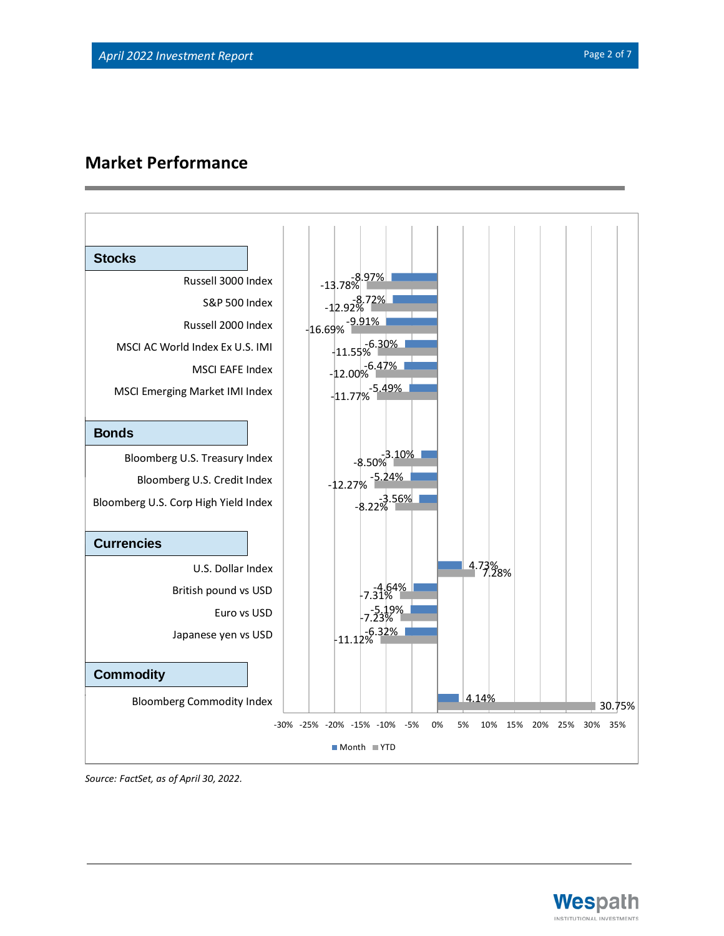## **Market Performance**



*Source: FactSet, as of April 30, 2022.*

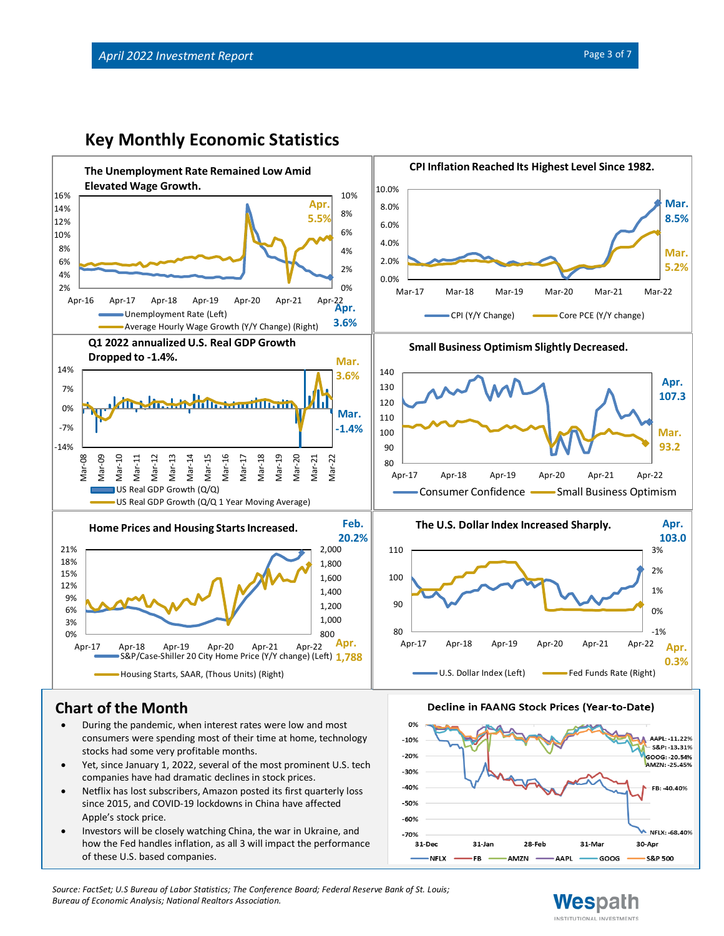



## • During the pandemic, when interest rates were low and most

- consumers were spending most of their time at home, technology stocks had some very profitable months.
- Yet, since January 1, 2022, several of the most prominent U.S. tech companies have had dramatic declines in stock prices.
- Netflix has lost subscribers, Amazon posted its first quarterly loss since 2015, and COVID-19 lockdowns in China have affected Apple's stock price.
- Investors will be closely watching China, the war in Ukraine, and how the Fed handles inflation, as all 3 will impact the performance of these U.S. based companies.

*Source: FactSet; U.S Bureau of Labor Statistics; The Conference Board; Federal Reserve Bank of St. Louis; Bureau of Economic Analysis; National Realtors Association.*



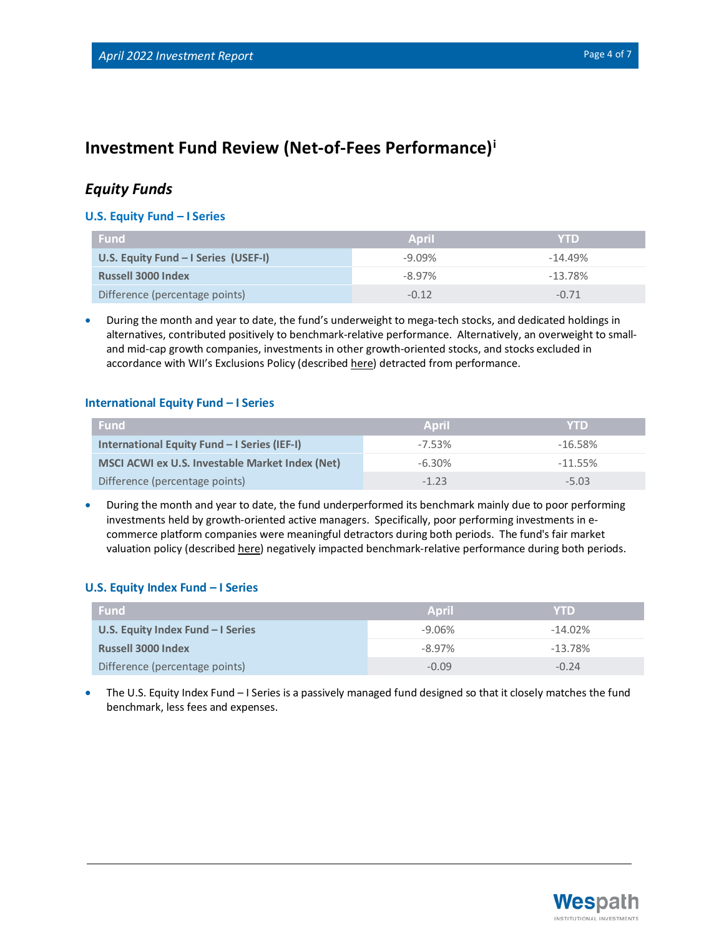## **Investment Fund Review (Net-of-Fees Performance)<sup>i</sup>**

### *Equity Funds*

#### **U.S. Equity Fund – I Series**

| <b>Fund</b>                          | <b>April</b> | <b>YTD</b> |
|--------------------------------------|--------------|------------|
| U.S. Equity Fund - I Series (USEF-I) | $-9.09\%$    | $-14.49%$  |
| <b>Russell 3000 Index</b>            | $-8.97\%$    | $-13.78\%$ |
| Difference (percentage points)       | $-0.12$      | $-0.71$    |

• During the month and year to date, the fund's underweight to mega-tech stocks, and dedicated holdings in alternatives, contributed positively to benchmark-relative performance. Alternatively, an overweight to smalland mid-cap growth companies, investments in other growth-oriented stocks, and stocks excluded in accordance with WII's Exclusions Policy (described [here\)](https://www.wespath.com/sustainable-investment/investment-exclusions) detracted from performance.

#### **International Equity Fund – I Series**

| <b>Fund</b>                                     | <b>April</b> | <b>YTD</b> |
|-------------------------------------------------|--------------|------------|
| International Equity Fund - I Series (IEF-I)    | $-7.53%$     | $-16.58\%$ |
| MSCI ACWI ex U.S. Investable Market Index (Net) | $-6.30\%$    | $-11.55%$  |
| Difference (percentage points)                  | $-1.23$      | $-5.03$    |

• During the month and year to date, the fund underperformed its benchmark mainly due to poor performing investments held by growth-oriented active managers. Specifically, poor performing investments in ecommerce platform companies were meaningful detractors during both periods. The fund's fair market valuation policy (described [here\)](https://www.wespath.com/fund-performance/ief-i#fund-detail-tabs-risk) negatively impacted benchmark-relative performance during both periods.

#### **U.S. Equity Index Fund – I Series**

| <b>Fund</b>                        | <b>April</b> | <b>YTD</b> |
|------------------------------------|--------------|------------|
| U.S. Equity Index Fund $-1$ Series | $-9.06\%$    | $-14.02\%$ |
| <b>Russell 3000 Index</b>          | $-8.97\%$    | $-13.78\%$ |
| Difference (percentage points)     | $-0.09$      | $-0.24$    |

• The U.S. Equity Index Fund – I Series is a passively managed fund designed so that it closely matches the fund benchmark, less fees and expenses.

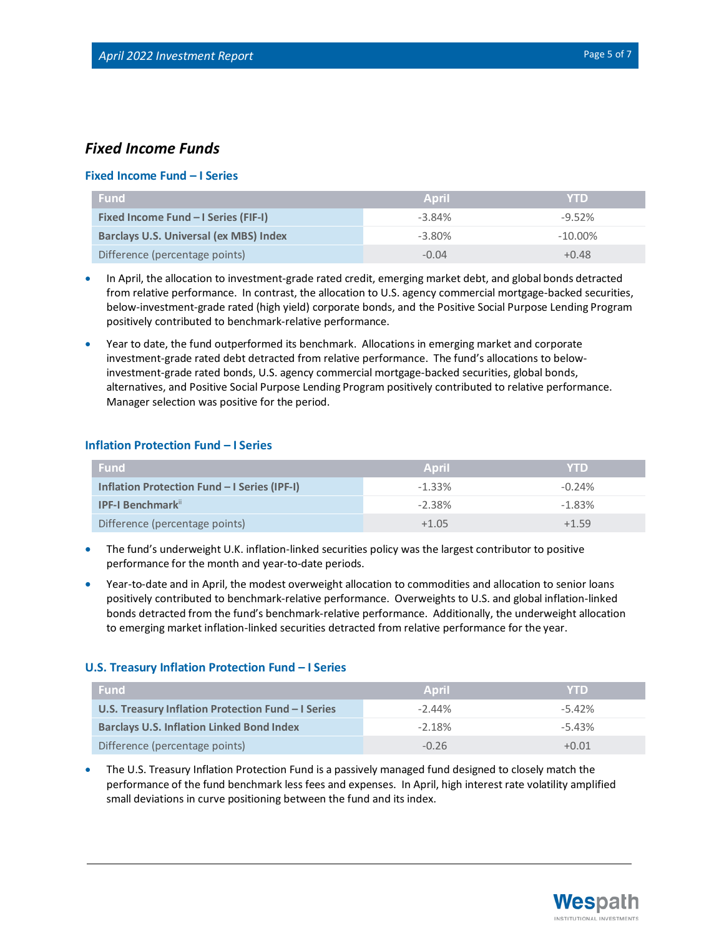## *Fixed Income Funds*

#### **Fixed Income Fund – I Series**

| <b>Fund</b>                                   | <b>April</b> | <b>YTD</b> |
|-----------------------------------------------|--------------|------------|
| Fixed Income Fund - I Series (FIF-I)          | $-3.84%$     | $-9.52%$   |
| <b>Barclays U.S. Universal (ex MBS) Index</b> | $-3.80\%$    | $-10.00\%$ |
| Difference (percentage points)                | $-0.04$      | $+0.48$    |

- In April, the allocation to investment-grade rated credit, emerging market debt, and global bonds detracted from relative performance. In contrast, the allocation to U.S. agency commercial mortgage-backed securities, below-investment-grade rated (high yield) corporate bonds, and the Positive Social Purpose Lending Program positively contributed to benchmark-relative performance.
- Year to date, the fund outperformed its benchmark. Allocations in emerging market and corporate investment-grade rated debt detracted from relative performance. The fund's allocations to belowinvestment-grade rated bonds, U.S. agency commercial mortgage-backed securities, global bonds, alternatives, and Positive Social Purpose Lending Program positively contributed to relative performance. Manager selection was positive for the period.

#### **Inflation Protection Fund – I Series**

| / Fund                                              | April     | <b>YTD</b> |
|-----------------------------------------------------|-----------|------------|
| <b>Inflation Protection Fund - I Series (IPF-I)</b> | $-1.33\%$ | $-0.24%$   |
| <b>IPF-I Benchmark</b> "                            | $-2.38%$  | $-1.83%$   |
| Difference (percentage points)                      | $+1.05$   | $+1.59$    |

- The fund's underweight U.K. inflation-linked securities policy was the largest contributor to positive performance for the month and year-to-date periods.
- Year-to-date and in April, the modest overweight allocation to commodities and allocation to senior loans positively contributed to benchmark-relative performance. Overweights to U.S. and global inflation-linked bonds detracted from the fund's benchmark-relative performance. Additionally, the underweight allocation to emerging market inflation-linked securities detracted from relative performance for the year.

#### **U.S. Treasury Inflation Protection Fund – I Series**

| <b>Fund</b>                                        | <b>April</b> | <b>YTD</b> |
|----------------------------------------------------|--------------|------------|
| U.S. Treasury Inflation Protection Fund - I Series | $-2.44\%$    | $-5.42\%$  |
| <b>Barclays U.S. Inflation Linked Bond Index</b>   | $-2.18%$     | $-5.43%$   |
| Difference (percentage points)                     | $-0.26$      | $+0.01$    |

• The U.S. Treasury Inflation Protection Fund is a passively managed fund designed to closely match the performance of the fund benchmark less fees and expenses. In April, high interest rate volatility amplified small deviations in curve positioning between the fund and its index.

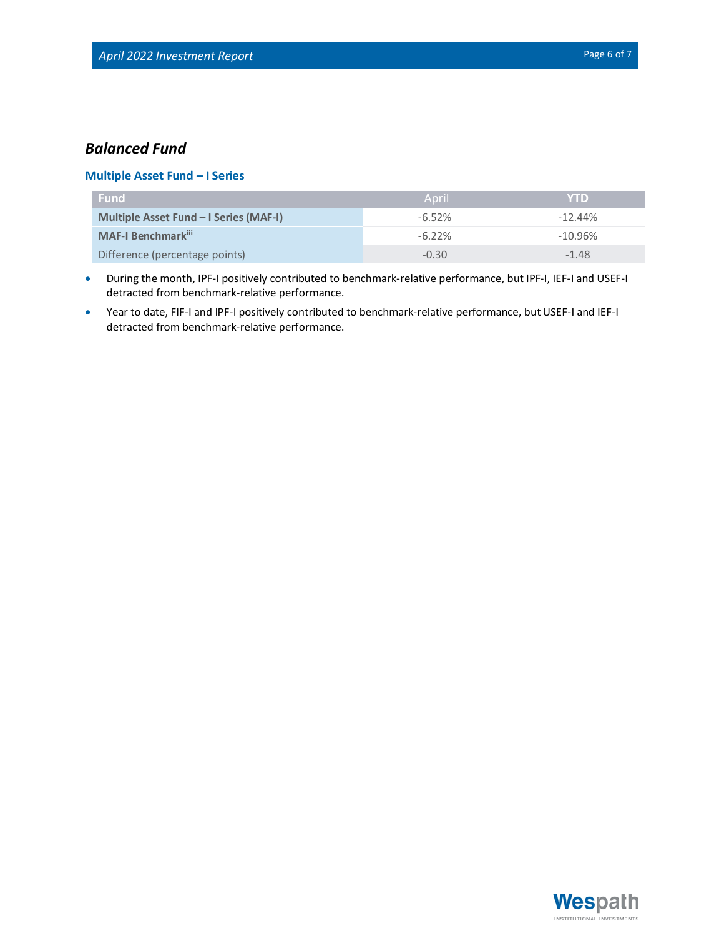## *Balanced Fund*

#### **Multiple Asset Fund – I Series**

| <b>Fund</b>                            | April     | <b>YTD</b> |
|----------------------------------------|-----------|------------|
| Multiple Asset Fund – I Series (MAF-I) | $-6.52%$  | $-12.44\%$ |
| <b>MAF-I Benchmark</b> ii              | $-6.22\%$ | $-10.96\%$ |
| Difference (percentage points)         | $-0.30$   | $-1.48$    |

- During the month, IPF-I positively contributed to benchmark-relative performance, but IPF-I, IEF-I and USEF-I detracted from benchmark-relative performance.
- Year to date, FIF-I and IPF-I positively contributed to benchmark-relative performance, but USEF-I and IEF-I detracted from benchmark-relative performance.